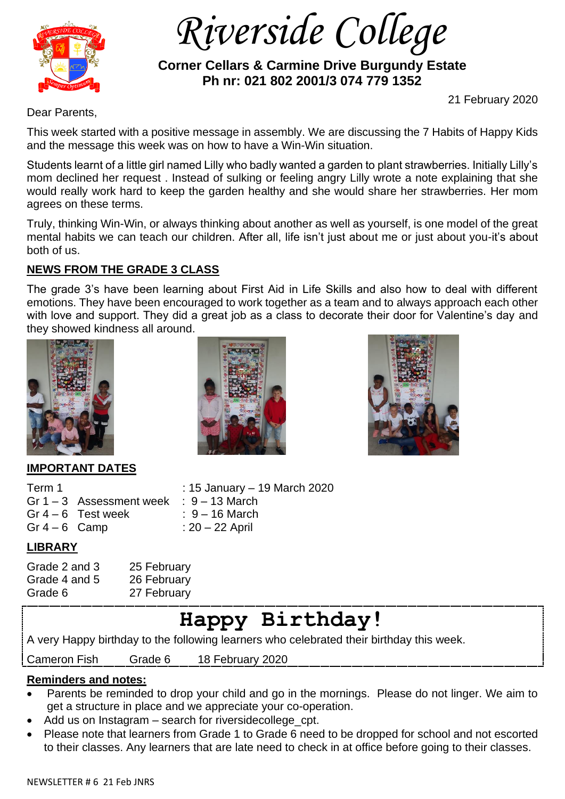

 *Riverside College*

 **Corner Cellars & Carmine Drive Burgundy Estate Ph nr: 021 802 2001/3 074 779 1352**

21 February 2020

Dear Parents,

This week started with a positive message in assembly. We are discussing the 7 Habits of Happy Kids and the message this week was on how to have a Win-Win situation.

Students learnt of a little girl named Lilly who badly wanted a garden to plant strawberries. Initially Lilly's mom declined her request . Instead of sulking or feeling angry Lilly wrote a note explaining that she would really work hard to keep the garden healthy and she would share her strawberries. Her mom agrees on these terms.

Truly, thinking Win-Win, or always thinking about another as well as yourself, is one model of the great mental habits we can teach our children. After all, life isn't just about me or just about you-it's about both of us.

## **NEWS FROM THE GRADE 3 CLASS**

The grade 3's have been learning about First Aid in Life Skills and also how to deal with different emotions. They have been encouraged to work together as a team and to always approach each other with love and support. They did a great job as a class to decorate their door for Valentine's day and they showed kindness all around.



## **IMPORTANT DATES**

| : 15 January - 19 March 2020                                                   |
|--------------------------------------------------------------------------------|
|                                                                                |
| $\therefore$ 9 – 16 March                                                      |
| $: 20 - 22$ April                                                              |
| Gr $1-3$ Assessment week : $9-13$ March<br>Gr $4-6$ Test week<br>Gr $4-6$ Camp |

## **LIBRARY**

Grade 2 and 3 25 February Grade 4 and 5 26 February Grade 6 27 February

# **Happy Birthday!**

A very Happy birthday to the following learners who celebrated their birthday this week.

Cameron Fish Grade 6 18 February 2020

### **Reminders and notes:**

- Parents be reminded to drop your child and go in the mornings. Please do not linger. We aim to get a structure in place and we appreciate your co-operation.
- Add us on Instagram search for riversidecollege\_cpt.
- Please note that learners from Grade 1 to Grade 6 need to be dropped for school and not escorted to their classes. Any learners that are late need to check in at office before going to their classes.